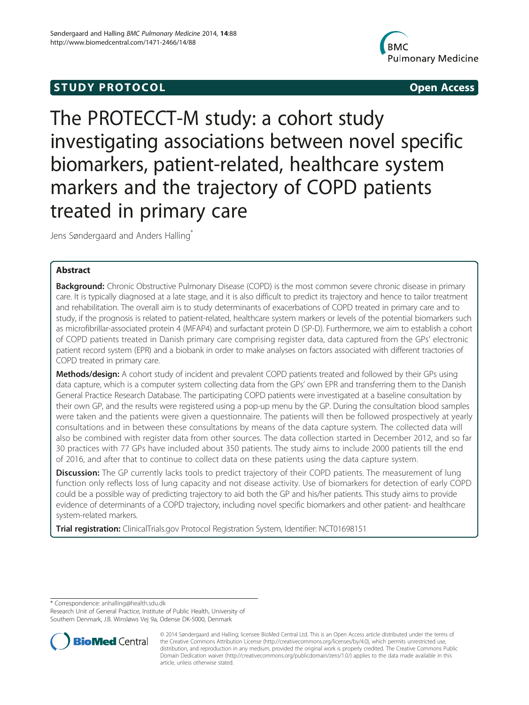## **STUDY PROTOCOL CONSUMING THE STUDY PROTOCOL**



# The PROTECCT-M study: a cohort study investigating associations between novel specific biomarkers, patient-related, healthcare system markers and the trajectory of COPD patients treated in primary care

Jens Søndergaard and Anders Halling<sup>\*</sup>

## Abstract

**Background:** Chronic Obstructive Pulmonary Disease (COPD) is the most common severe chronic disease in primary care. It is typically diagnosed at a late stage, and it is also difficult to predict its trajectory and hence to tailor treatment and rehabilitation. The overall aim is to study determinants of exacerbations of COPD treated in primary care and to study, if the prognosis is related to patient-related, healthcare system markers or levels of the potential biomarkers such as microfibrillar-associated protein 4 (MFAP4) and surfactant protein D (SP-D). Furthermore, we aim to establish a cohort of COPD patients treated in Danish primary care comprising register data, data captured from the GPs' electronic patient record system (EPR) and a biobank in order to make analyses on factors associated with different tractories of COPD treated in primary care.

Methods/design: A cohort study of incident and prevalent COPD patients treated and followed by their GPs using data capture, which is a computer system collecting data from the GPs' own EPR and transferring them to the Danish General Practice Research Database. The participating COPD patients were investigated at a baseline consultation by their own GP, and the results were registered using a pop-up menu by the GP. During the consultation blood samples were taken and the patients were given a questionnaire. The patients will then be followed prospectively at yearly consultations and in between these consultations by means of the data capture system. The collected data will also be combined with register data from other sources. The data collection started in December 2012, and so far 30 practices with 77 GPs have included about 350 patients. The study aims to include 2000 patients till the end of 2016, and after that to continue to collect data on these patients using the data capture system.

**Discussion:** The GP currently lacks tools to predict trajectory of their COPD patients. The measurement of lung function only reflects loss of lung capacity and not disease activity. Use of biomarkers for detection of early COPD could be a possible way of predicting trajectory to aid both the GP and his/her patients. This study aims to provide evidence of determinants of a COPD trajectory, including novel specific biomarkers and other patient- and healthcare system-related markers.

**Trial registration:** ClinicalTrials.gov Protocol Registration System, Identifier: [NCT01698151](https://clinicaltrials.gov/ct2/show/NCT01698151?term=nct01698151&rank=1)

\* Correspondence: [anhalling@health.sdu.dk](mailto:anhalling@health.sdu.dk)

Research Unit of General Practice, Institute of Public Health, University of Southern Denmark, J.B. Winsløws Vej 9a, Odense DK-5000, Denmark



<sup>© 2014</sup> Søndergaard and Halling; licensee BioMed Central Ltd. This is an Open Access article distributed under the terms of the Creative Commons Attribution License [\(http://creativecommons.org/licenses/by/4.0\)](http://creativecommons.org/licenses/by/4.0), which permits unrestricted use, distribution, and reproduction in any medium, provided the original work is properly credited. The Creative Commons Public Domain Dedication waiver [\(http://creativecommons.org/publicdomain/zero/1.0/\)](http://creativecommons.org/publicdomain/zero/1.0/) applies to the data made available in this article, unless otherwise stated.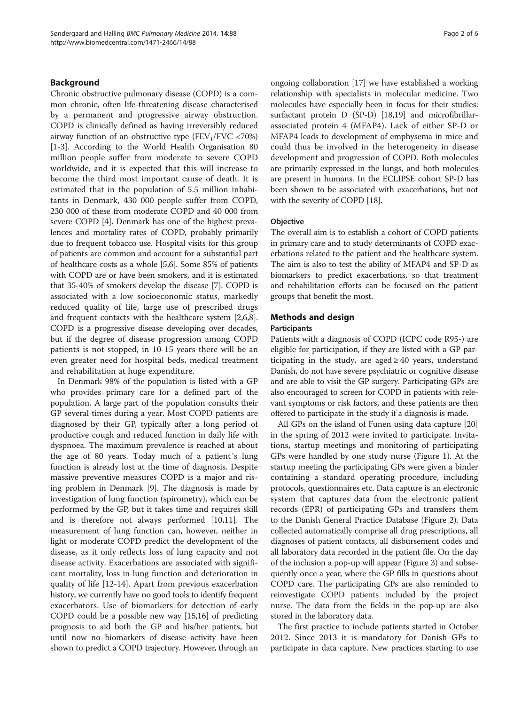## Background

Chronic obstructive pulmonary disease (COPD) is a common chronic, often life-threatening disease characterised by a permanent and progressive airway obstruction. COPD is clinically defined as having irreversibly reduced airway function of an obstructive type  $(FEV_1/FVC \lt 70\%)$ [[1-3\]](#page-4-0). According to the World Health Organisation 80 million people suffer from moderate to severe COPD worldwide, and it is expected that this will increase to become the third most important cause of death. It is estimated that in the population of 5.5 million inhabitants in Denmark, 430 000 people suffer from COPD, 230 000 of these from moderate COPD and 40 000 from severe COPD [[4\]](#page-4-0). Denmark has one of the highest prevalences and mortality rates of COPD, probably primarily due to frequent tobacco use. Hospital visits for this group of patients are common and account for a substantial part of healthcare costs as a whole [\[5,6](#page-4-0)]. Some 85% of patients with COPD are or have been smokers, and it is estimated that 35-40% of smokers develop the disease [\[7\]](#page-4-0). COPD is associated with a low socioeconomic status, markedly reduced quality of life, large use of prescribed drugs and frequent contacts with the healthcare system [[2,6](#page-4-0),[8](#page-4-0)]. COPD is a progressive disease developing over decades, but if the degree of disease progression among COPD patients is not stopped, in 10-15 years there will be an even greater need for hospital beds, medical treatment and rehabilitation at huge expenditure.

In Denmark 98% of the population is listed with a GP who provides primary care for a defined part of the population. A large part of the population consults their GP several times during a year. Most COPD patients are diagnosed by their GP, typically after a long period of productive cough and reduced function in daily life with dyspnoea. The maximum prevalence is reached at about the age of 80 years. Today much of a patient´s lung function is already lost at the time of diagnosis. Despite massive preventive measures COPD is a major and rising problem in Denmark [[9\]](#page-4-0). The diagnosis is made by investigation of lung function (spirometry), which can be performed by the GP, but it takes time and requires skill and is therefore not always performed [[10,11](#page-4-0)]. The measurement of lung function can, however, neither in light or moderate COPD predict the development of the disease, as it only reflects loss of lung capacity and not disease activity. Exacerbations are associated with significant mortality, loss in lung function and deterioration in quality of life [\[12](#page-4-0)-[14\]](#page-4-0). Apart from previous exacerbation history, we currently have no good tools to identify frequent exacerbators. Use of biomarkers for detection of early COPD could be a possible new way [[15,16](#page-4-0)] of predicting prognosis to aid both the GP and his/her patients, but until now no biomarkers of disease activity have been shown to predict a COPD trajectory. However, through an

ongoing collaboration [\[17\]](#page-4-0) we have established a working relationship with specialists in molecular medicine. Two molecules have especially been in focus for their studies: surfactant protein D (SP-D) [\[18,19\]](#page-4-0) and microfibrillarassociated protein 4 (MFAP4). Lack of either SP-D or MFAP4 leads to development of emphysema in mice and could thus be involved in the heterogeneity in disease development and progression of COPD. Both molecules are primarily expressed in the lungs, and both molecules are present in humans. In the ECLIPSE cohort SP-D has been shown to be associated with exacerbations, but not with the severity of COPD [[18\]](#page-4-0).

### **Objective**

The overall aim is to establish a cohort of COPD patients in primary care and to study determinants of COPD exacerbations related to the patient and the healthcare system. The aim is also to test the ability of MFAP4 and SP-D as biomarkers to predict exacerbations, so that treatment and rehabilitation efforts can be focused on the patient groups that benefit the most.

#### Methods and design

#### **Participants**

Patients with a diagnosis of COPD (ICPC code R95-) are eligible for participation, if they are listed with a GP participating in the study, are aged  $\geq 40$  years, understand Danish, do not have severe psychiatric or cognitive disease and are able to visit the GP surgery. Participating GPs are also encouraged to screen for COPD in patients with relevant symptoms or risk factors, and these patients are then offered to participate in the study if a diagnosis is made.

All GPs on the island of Funen using data capture [[20](#page-4-0)] in the spring of 2012 were invited to participate. Invitations, startup meetings and monitoring of participating GPs were handled by one study nurse (Figure [1](#page-2-0)). At the startup meeting the participating GPs were given a binder containing a standard operating procedure, including protocols, questionnaires etc. Data capture is an electronic system that captures data from the electronic patient records (EPR) of participating GPs and transfers them to the Danish General Practice Database (Figure [2](#page-2-0)). Data collected automatically comprise all drug prescriptions, all diagnoses of patient contacts, all disbursement codes and all laboratory data recorded in the patient file. On the day of the inclusion a pop-up will appear (Figure [3](#page-3-0)) and subsequently once a year, where the GP fills in questions about COPD care. The participating GPs are also reminded to reinvestigate COPD patients included by the project nurse. The data from the fields in the pop-up are also stored in the laboratory data.

The first practice to include patients started in October 2012. Since 2013 it is mandatory for Danish GPs to participate in data capture. New practices starting to use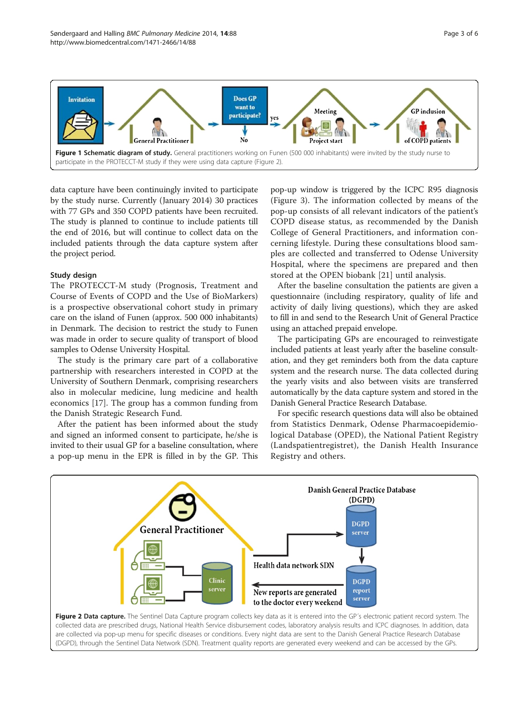

<span id="page-2-0"></span>

data capture have been continuingly invited to participate by the study nurse. Currently (January 2014) 30 practices with 77 GPs and 350 COPD patients have been recruited. The study is planned to continue to include patients till the end of 2016, but will continue to collect data on the included patients through the data capture system after the project period.

## Study design

The PROTECCT-M study (Prognosis, Treatment and Course of Events of COPD and the Use of BioMarkers) is a prospective observational cohort study in primary care on the island of Funen (approx. 500 000 inhabitants) in Denmark. The decision to restrict the study to Funen was made in order to secure quality of transport of blood samples to Odense University Hospital.

The study is the primary care part of a collaborative partnership with researchers interested in COPD at the University of Southern Denmark, comprising researchers also in molecular medicine, lung medicine and health economics [[17](#page-4-0)]. The group has a common funding from the Danish Strategic Research Fund.

After the patient has been informed about the study and signed an informed consent to participate, he/she is invited to their usual GP for a baseline consultation, where a pop-up menu in the EPR is filled in by the GP. This

pop-up window is triggered by the ICPC R95 diagnosis (Figure [3](#page-3-0)). The information collected by means of the pop-up consists of all relevant indicators of the patient's COPD disease status, as recommended by the Danish College of General Practitioners, and information concerning lifestyle. During these consultations blood samples are collected and transferred to Odense University Hospital, where the specimens are prepared and then stored at the OPEN biobank [\[21](#page-4-0)] until analysis.

After the baseline consultation the patients are given a questionnaire (including respiratory, quality of life and activity of daily living questions), which they are asked to fill in and send to the Research Unit of General Practice using an attached prepaid envelope.

The participating GPs are encouraged to reinvestigate included patients at least yearly after the baseline consultation, and they get reminders both from the data capture system and the research nurse. The data collected during the yearly visits and also between visits are transferred automatically by the data capture system and stored in the Danish General Practice Research Database.

For specific research questions data will also be obtained from Statistics Denmark, Odense Pharmacoepidemiological Database (OPED), the National Patient Registry (Landspatientregistret), the Danish Health Insurance Registry and others.

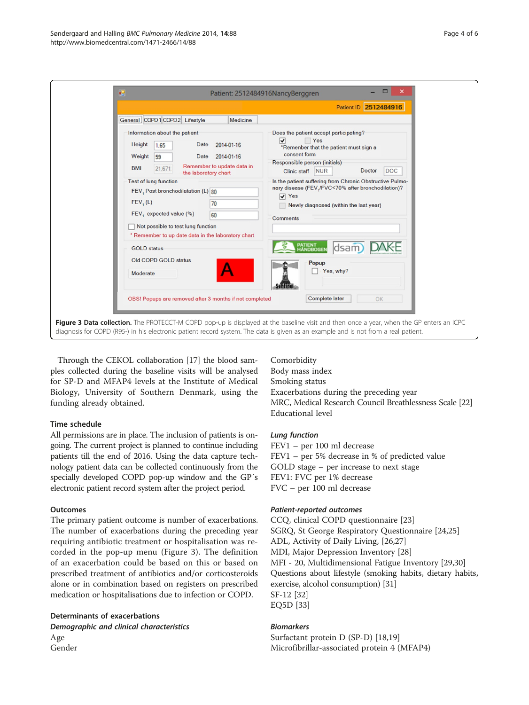<span id="page-3-0"></span>

Through the CEKOL collaboration [[17\]](#page-4-0) the blood samples collected during the baseline visits will be analysed for SP-D and MFAP4 levels at the Institute of Medical Biology, University of Southern Denmark, using the funding already obtained.

## Time schedule

All permissions are in place. The inclusion of patients is ongoing. The current project is planned to continue including patients till the end of 2016. Using the data capture technology patient data can be collected continuously from the specially developed COPD pop-up window and the GP´s electronic patient record system after the project period.

## **Outcomes**

The primary patient outcome is number of exacerbations. The number of exacerbations during the preceding year requiring antibiotic treatment or hospitalisation was recorded in the pop-up menu (Figure 3). The definition of an exacerbation could be based on this or based on prescribed treatment of antibiotics and/or corticosteroids alone or in combination based on registers on prescribed medication or hospitalisations due to infection or COPD.

## Determinants of exacerbations

Demographic and clinical characteristics Age Gender

Comorbidity Body mass index Smoking status Exacerbations during the preceding year MRC, Medical Research Council Breathlessness Scale [[22](#page-4-0)] Educational level

## Lung function

FEV1 – per 100 ml decrease FEV1 – per 5% decrease in % of predicted value GOLD stage – per increase to next stage FEV1: FVC per 1% decrease FVC – per 100 ml decrease

## Patient-reported outcomes

CCQ, clinical COPD questionnaire [\[23\]](#page-4-0) SGRQ, St George Respiratory Questionnaire [[24,25\]](#page-5-0) ADL, Activity of Daily Living, [[26,27\]](#page-5-0) MDI, Major Depression Inventory [[28\]](#page-5-0) MFI - 20, Multidimensional Fatigue Inventory [[29](#page-5-0),[30](#page-5-0)] Questions about lifestyle (smoking habits, dietary habits, exercise, alcohol consumption) [\[31\]](#page-5-0) SF-12 [\[32](#page-5-0)] EQ5D [\[33\]](#page-5-0)

## **Biomarkers**

Surfactant protein D (SP-D) [[18,19](#page-4-0)] Microfibrillar-associated protein 4 (MFAP4)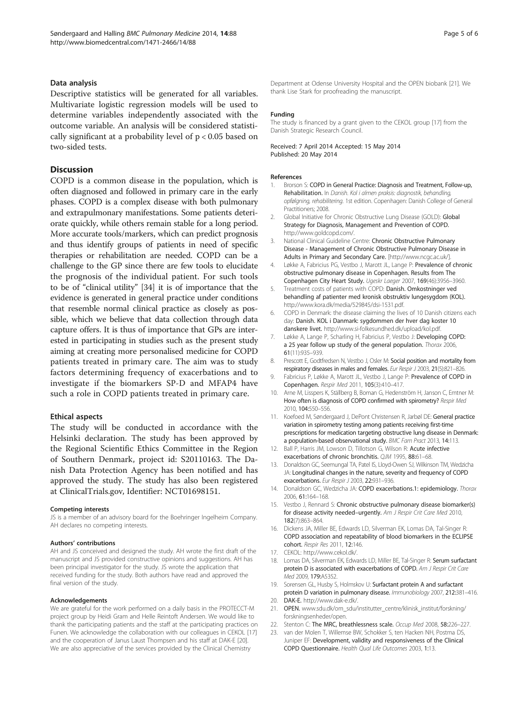#### <span id="page-4-0"></span>Data analysis

Descriptive statistics will be generated for all variables. Multivariate logistic regression models will be used to determine variables independently associated with the outcome variable. An analysis will be considered statistically significant at a probability level of p < 0.05 based on two-sided tests.

## **Discussion**

COPD is a common disease in the population, which is often diagnosed and followed in primary care in the early phases. COPD is a complex disease with both pulmonary and extrapulmonary manifestations. Some patients deteriorate quickly, while others remain stable for a long period. More accurate tools/markers, which can predict prognosis and thus identify groups of patients in need of specific therapies or rehabilitation are needed. COPD can be a challenge to the GP since there are few tools to elucidate the prognosis of the individual patient. For such tools to be of "clinical utility" [[34](#page-5-0)] it is of importance that the evidence is generated in general practice under conditions that resemble normal clinical practice as closely as possible, which we believe that data collection through data capture offers. It is thus of importance that GPs are interested in participating in studies such as the present study aiming at creating more personalised medicine for COPD patients treated in primary care. The aim was to study factors determining frequency of exacerbations and to investigate if the biomarkers SP-D and MFAP4 have such a role in COPD patients treated in primary care.

### Ethical aspects

The study will be conducted in accordance with the Helsinki declaration. The study has been approved by the Regional Scientific Ethics Committee in the Region of Southern Denmark, project id: S20110163. The Danish Data Protection Agency has been notified and has approved the study. The study has also been registered at ClinicalTrials.gov, Identifier: NCT01698151.

#### Competing interests

JS is a member of an advisory board for the Boehringer Ingelheim Company. AH declares no competing interests.

#### Authors' contributions

AH and JS conceived and designed the study. AH wrote the first draft of the manuscript and JS provided constructive opinions and suggestions. AH has been principal investigator for the study. JS wrote the application that received funding for the study. Both authors have read and approved the final version of the study.

#### Acknowledgements

We are grateful for the work performed on a daily basis in the PROTECCT-M project group by Heidi Gram and Helle Reintoft Andersen. We would like to thank the participating patients and the staff at the participating practices on Funen. We acknowledge the collaboration with our colleagues in CEKOL [17] and the cooperation of Janus Laust Thompsen and his staff at DAK-E [20]. We are also appreciative of the services provided by the Clinical Chemistry

Department at Odense University Hospital and the OPEN biobank [21]. We thank Lise Stark for proofreading the manuscript.

#### Funding

The study is financed by a grant given to the CEKOL group [17] from the Danish Strategic Research Council.

Received: 7 April 2014 Accepted: 15 May 2014 Published: 20 May 2014

#### References

- Brorson S: COPD in General Practice: Diagnosis and Treatment, Follow-up, Rehabilitation. In Danish. Kol i almen praksis: diagnostik, behandling, opfølgning, rehabilitering. 1st edition. Copenhagen: Danish College of General Practitioners; 2008.
- 2. Global Initiative for Chronic Obstructive Lung Disease (GOLD): Global Strategy for Diagnosis, Management and Prevention of COPD. <http://www.goldcopd.com/>.
- 3. National Clinical Guideline Centre: Chronic Obstructive Pulmonary Disease - Management of Chronic Obstructive Pulmonary Disease in Adults in Primary and Secondary Care. [[http://www.ncgc.ac.uk/\]](http://www.ncgc.ac.uk/).
- 4. Løkke A, Fabricius PG, Vestbo J, Marott JL, Lange P: Prevalence of chronic obstructive pulmonary disease in Copenhagen. Results from The Copenhagen City Heart Study. Ugeskr Laeger 2007, 169(46):3956–3960.
- 5. Treatment costs of patients with COPD: Danish. Omkostninger ved behandling af patienter med kronisk obstruktiv lungesygdom (KOL). <http://www.kora.dk/media/529845/dsi-1531.pdf>.
- 6. COPD in Denmark: the disease claiming the lives of 10 Danish citizens each day: Danish. KOL i Danmark: sygdommen der hver dag koster 10 danskere livet. [http://www.si-folkesundhed.dk/upload/kol.pdf.](http://www.si-folkesundhed.dk/upload/kol.pdf)
- 7. Løkke A, Lange P, Scharling H, Fabricius P, Vestbo J: Developing COPD: a 25 year follow up study of the general population. Thorax 2006, 61(11):935–939.
- Prescott E, Godtfredsen N, Vestbo J, Osler M: Social position and mortality from respiratory diseases in males and females. Eur Respir J 2003, 21(5):821–826.
- 9. Fabricius P, Løkke A, Marott JL, Vestbo J, Lange P: Prevalence of COPD in Copenhagen. Respir Med 2011, 105(3):410–417.
- 10. Arne M, Lisspers K, Ställberg B, Boman G, Hedenström H, Janson C, Emtner M: How often is diagnosis of COPD confirmed with spirometry? Respir Med 2010, 104:550–556.
- 11. Koefoed M, Søndergaard J, DePont Christensen R, Jarbøl DE: General practice variation in spirometry testing among patients receiving first-time prescriptions for medication targeting obstructive lung disease in Denmark: a population-based observational study. BMC Fam Pract 2013, 14:113.
- 12. Ball P, Harris JM, Lowson D, Tillotson G, Wilson R: Acute infective exacerbations of chronic bronchitis. QJM 1995, 88:61-68.
- 13. Donaldson GC, Seemungal TA, Patel IS, Lloyd-Owen SJ, Wilkinson TM, Wedzicha JA: Longitudinal changes in the nature, severity and frequency of COPD exacerbations. Eur Respir J 2003, 22:931–936.
- 14. Donaldson GC, Wedzicha JA: COPD exacerbations.1: epidemiology. Thorax 2006, 61:164–168.
- 15. Vestbo J, Rennard S: Chronic obstructive pulmonary disease biomarker(s) for disease activity needed-urgently. Am J Respir Crit Care Med 2010, 182(7):863–864.
- 16. Dickens JA, Miller BE, Edwards LD, Silverman EK, Lomas DA, Tal-Singer R: COPD association and repeatability of blood biomarkers in the ECLIPSE cohort. Respir Res 2011, 12:146.
- 17. CEKOL: [http://www.cekol.dk/.](http://www.cekol.dk/)
- 18. Lomas DA, Silverman EK, Edwards LD, Miller BE, Tal-Singer R: Serum surfactant protein D is associated with exacerbations of COPD. Am J Respir Crit Care Med 2009, 179:A5352.
- 19. Sorensen GL, Husby S, Holmskov U: Surfactant protein A and surfactant
- protein D variation in pulmonary disease. Immunobiology 2007, 212:381–416. 20. DAK-E. <http://www.dak-e.dk/>.
- 21. OPEN. [www.sdu.dk/om\\_sdu/institutter\\_centre/klinisk\\_institut/forskning/](http://www.sdu.dk/om_sdu/institutter_centre/klinisk_institut/forskning/forskningsenheder/open) [forskningsenheder/open.](http://www.sdu.dk/om_sdu/institutter_centre/klinisk_institut/forskning/forskningsenheder/open)
- 22. Stenton C: The MRC, breathlessness scale. Occup Med 2008, 58:226-227.
- 23. van der Molen T, Willemse BW, Schokker S, ten Hacken NH, Postma DS, Juniper EF: Development, validity and responsiveness of the Clinical COPD Questionnaire. Health Qual Life Outcomes 2003, 1:13.